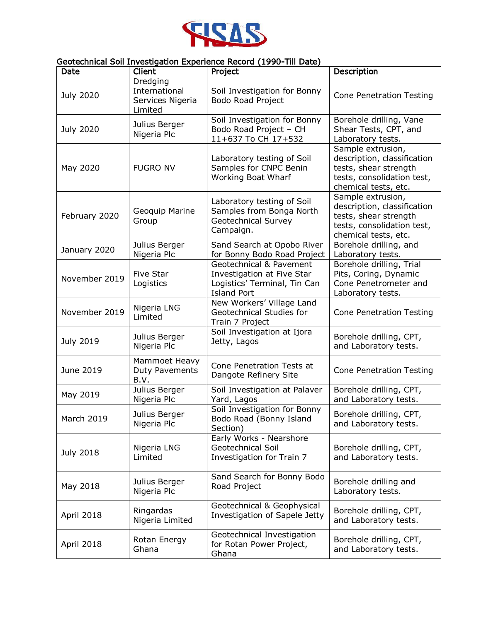

## Geotechnical Soil Investigation Experience Record (1990-Till Date)

| Date             | <br>Client                                               | Project                                                                                                     | Description                                                                                                                     |
|------------------|----------------------------------------------------------|-------------------------------------------------------------------------------------------------------------|---------------------------------------------------------------------------------------------------------------------------------|
| <b>July 2020</b> | Dredging<br>International<br>Services Nigeria<br>Limited | Soil Investigation for Bonny<br>Bodo Road Project                                                           | <b>Cone Penetration Testing</b>                                                                                                 |
| <b>July 2020</b> | Julius Berger<br>Nigeria Plc                             | Soil Investigation for Bonny<br>Bodo Road Project - CH<br>11+637 To CH 17+532                               | Borehole drilling, Vane<br>Shear Tests, CPT, and<br>Laboratory tests.                                                           |
| May 2020         | <b>FUGRO NV</b>                                          | Laboratory testing of Soil<br>Samples for CNPC Benin<br>Working Boat Wharf                                  | Sample extrusion,<br>description, classification<br>tests, shear strength<br>tests, consolidation test,<br>chemical tests, etc. |
| February 2020    | Geoquip Marine<br>Group                                  | Laboratory testing of Soil<br>Samples from Bonga North<br><b>Geotechnical Survey</b><br>Campaign.           | Sample extrusion,<br>description, classification<br>tests, shear strength<br>tests, consolidation test,<br>chemical tests, etc. |
| January 2020     | Julius Berger<br>Nigeria Plc                             | Sand Search at Opobo River<br>for Bonny Bodo Road Project                                                   | Borehole drilling, and<br>Laboratory tests.                                                                                     |
| November 2019    | <b>Five Star</b><br>Logistics                            | Geotechnical & Pavement<br>Investigation at Five Star<br>Logistics' Terminal, Tin Can<br><b>Island Port</b> | Borehole drilling, Trial<br>Pits, Coring, Dynamic<br>Cone Penetrometer and<br>Laboratory tests.                                 |
| November 2019    | Nigeria LNG<br>Limited                                   | New Workers' Village Land<br>Geotechnical Studies for<br>Train 7 Project                                    | <b>Cone Penetration Testing</b>                                                                                                 |
| <b>July 2019</b> | Julius Berger<br>Nigeria Plc                             | Soil Investigation at Ijora<br>Jetty, Lagos                                                                 | Borehole drilling, CPT,<br>and Laboratory tests.                                                                                |
| June 2019        | Mammoet Heavy<br>Duty Pavements<br>B.V.                  | Cone Penetration Tests at<br>Dangote Refinery Site                                                          | <b>Cone Penetration Testing</b>                                                                                                 |
| May 2019         | Julius Berger<br>Nigeria Plc                             | Soil Investigation at Palaver<br>Yard, Lagos                                                                | Borehole drilling, CPT,<br>and Laboratory tests.                                                                                |
| March 2019       | Julius Berger<br>Nigeria Plc                             | Soil Investigation for Bonny<br>Bodo Road (Bonny Island<br>Section)                                         | Borehole drilling, CPT,<br>and Laboratory tests.                                                                                |
| <b>July 2018</b> | Nigeria LNG<br>Limited                                   | Early Works - Nearshore<br><b>Geotechnical Soil</b><br>Investigation for Train 7                            | Borehole drilling, CPT,<br>and Laboratory tests.                                                                                |
| May 2018         | Julius Berger<br>Nigeria Plc                             | Sand Search for Bonny Bodo<br>Road Project                                                                  | Borehole drilling and<br>Laboratory tests.                                                                                      |
| April 2018       | Ringardas<br>Nigeria Limited                             | Geotechnical & Geophysical<br>Investigation of Sapele Jetty                                                 | Borehole drilling, CPT,<br>and Laboratory tests.                                                                                |
| April 2018       | Rotan Energy<br>Ghana                                    | Geotechnical Investigation<br>for Rotan Power Project,<br>Ghana                                             | Borehole drilling, CPT,<br>and Laboratory tests.                                                                                |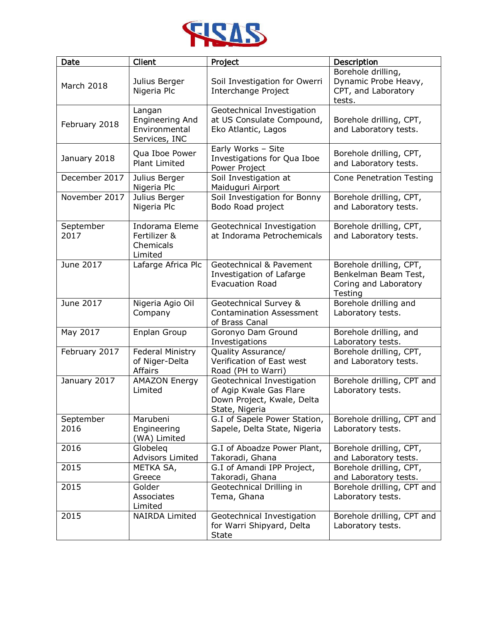

| Date                  | Client                                                             | Project                                                                                               | Description                                                                         |
|-----------------------|--------------------------------------------------------------------|-------------------------------------------------------------------------------------------------------|-------------------------------------------------------------------------------------|
| March 2018            | Julius Berger<br>Nigeria Plc                                       | Soil Investigation for Owerri<br>Interchange Project                                                  | Borehole drilling,<br>Dynamic Probe Heavy,<br>CPT, and Laboratory<br>tests.         |
| February 2018         | Langan<br><b>Engineering And</b><br>Environmental<br>Services, INC | Geotechnical Investigation<br>at US Consulate Compound,<br>Eko Atlantic, Lagos                        | Borehole drilling, CPT,<br>and Laboratory tests.                                    |
| January 2018          | Qua Iboe Power<br>Plant Limited                                    | Early Works - Site<br>Investigations for Qua Iboe<br>Power Project                                    | Borehole drilling, CPT,<br>and Laboratory tests.                                    |
| December 2017         | Julius Berger<br>Nigeria Plc                                       | Soil Investigation at<br>Maiduguri Airport                                                            | <b>Cone Penetration Testing</b>                                                     |
| November 2017         | Julius Berger<br>Nigeria Plc                                       | Soil Investigation for Bonny<br>Bodo Road project                                                     | Borehole drilling, CPT,<br>and Laboratory tests.                                    |
| September<br>2017     | Indorama Eleme<br>Fertilizer &<br>Chemicals<br>Limited             | Geotechnical Investigation<br>at Indorama Petrochemicals                                              | Borehole drilling, CPT,<br>and Laboratory tests.                                    |
| June 2017             | Lafarge Africa Plc                                                 | Geotechnical & Pavement<br>Investigation of Lafarge<br><b>Evacuation Road</b>                         | Borehole drilling, CPT,<br>Benkelman Beam Test,<br>Coring and Laboratory<br>Testing |
| June 2017             | Nigeria Agio Oil<br>Company                                        | Geotechnical Survey &<br><b>Contamination Assessment</b><br>of Brass Canal                            | Borehole drilling and<br>Laboratory tests.                                          |
| May $20\overline{17}$ | Enplan Group                                                       | Goronyo Dam Ground<br>Investigations                                                                  | Borehole drilling, and<br>Laboratory tests.                                         |
| February 2017         | <b>Federal Ministry</b><br>of Niger-Delta<br>Affairs               | Quality Assurance/<br>Verification of East west<br>Road (PH to Warri)                                 | Borehole drilling, CPT,<br>and Laboratory tests.                                    |
| January 2017          | <b>AMAZON Energy</b><br>Limited                                    | Geotechnical Investigation<br>of Agip Kwale Gas Flare<br>Down Project, Kwale, Delta<br>State, Nigeria | Borehole drilling, CPT and<br>Laboratory tests.                                     |
| September<br>2016     | Marubeni<br>Engineering<br>(WA) Limited                            | G.I of Sapele Power Station,<br>Sapele, Delta State, Nigeria                                          | Borehole drilling, CPT and<br>Laboratory tests.                                     |
| 2016                  | Globeleg<br><b>Advisors Limited</b>                                | G.I of Aboadze Power Plant,<br>Takoradi, Ghana                                                        | Borehole drilling, CPT,<br>and Laboratory tests.                                    |
| 2015                  | METKA SA,<br>Greece                                                | G.I of Amandi IPP Project,<br>Takoradi, Ghana                                                         | Borehole drilling, CPT,<br>and Laboratory tests.                                    |
| 2015                  | Golder<br>Associates<br>Limited                                    | Geotechnical Drilling in<br>Tema, Ghana                                                               | Borehole drilling, CPT and<br>Laboratory tests.                                     |
| 2015                  | <b>NAIRDA Limited</b>                                              | Geotechnical Investigation<br>for Warri Shipyard, Delta<br><b>State</b>                               | Borehole drilling, CPT and<br>Laboratory tests.                                     |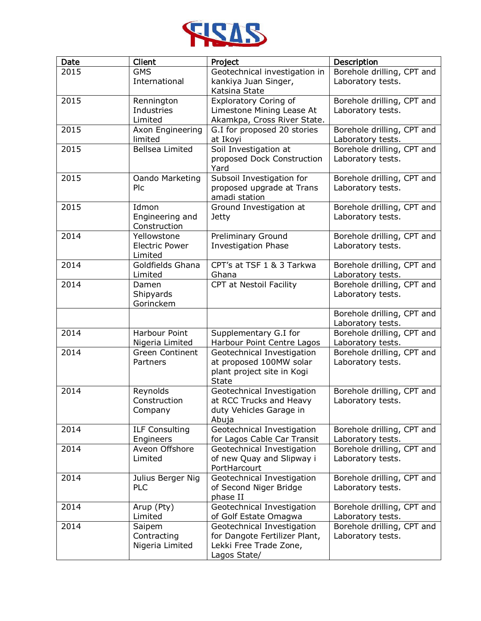

| Date | Client                             | Project                                                    | Description                                     |
|------|------------------------------------|------------------------------------------------------------|-------------------------------------------------|
| 2015 | <b>GMS</b>                         | Geotechnical investigation in                              | Borehole drilling, CPT and                      |
|      | International                      | kankiya Juan Singer,                                       | Laboratory tests.                               |
|      |                                    | Katsina State                                              |                                                 |
| 2015 | Rennington                         | <b>Exploratory Coring of</b>                               | Borehole drilling, CPT and                      |
|      | Industries                         | Limestone Mining Lease At                                  | Laboratory tests.                               |
| 2015 | Limited<br>Axon Engineering        | Akamkpa, Cross River State.<br>G.I for proposed 20 stories | Borehole drilling, CPT and                      |
|      | limited                            | at Ikoyi                                                   | Laboratory tests.                               |
| 2015 | <b>Bellsea Limited</b>             | Soil Investigation at                                      | Borehole drilling, CPT and                      |
|      |                                    | proposed Dock Construction                                 | Laboratory tests.                               |
|      |                                    | Yard                                                       |                                                 |
| 2015 | Oando Marketing                    | Subsoil Investigation for                                  | Borehole drilling, CPT and                      |
|      | Plc                                | proposed upgrade at Trans                                  | Laboratory tests.                               |
|      |                                    | amadi station                                              |                                                 |
| 2015 | Idmon                              | Ground Investigation at                                    | Borehole drilling, CPT and                      |
|      | Engineering and                    | <b>Jetty</b>                                               | Laboratory tests.                               |
| 2014 | Construction<br>Yellowstone        | Preliminary Ground                                         | Borehole drilling, CPT and                      |
|      | <b>Electric Power</b>              | <b>Investigation Phase</b>                                 | Laboratory tests.                               |
|      | Limited                            |                                                            |                                                 |
| 2014 | Goldfields Ghana                   | CPT's at TSF 1 & 3 Tarkwa                                  | Borehole drilling, CPT and                      |
|      | Limited                            | Ghana                                                      | Laboratory tests.                               |
| 2014 | Damen                              | CPT at Nestoil Facility                                    | Borehole drilling, CPT and                      |
|      | Shipyards                          |                                                            | Laboratory tests.                               |
|      | Gorinckem                          |                                                            |                                                 |
|      |                                    |                                                            | Borehole drilling, CPT and                      |
|      |                                    |                                                            | Laboratory tests.                               |
| 2014 | Harbour Point<br>Nigeria Limited   | Supplementary G.I for<br>Harbour Point Centre Lagos        | Borehole drilling, CPT and<br>Laboratory tests. |
| 2014 | <b>Green Continent</b>             | Geotechnical Investigation                                 | Borehole drilling, CPT and                      |
|      | Partners                           | at proposed 100MW solar                                    | Laboratory tests.                               |
|      |                                    | plant project site in Kogi                                 |                                                 |
|      |                                    | <b>State</b>                                               |                                                 |
| 2014 | Reynolds                           | Geotechnical Investigation                                 | Borehole drilling, CPT and                      |
|      | Construction                       | at RCC Trucks and Heavy                                    | Laboratory tests.                               |
|      | Company                            | duty Vehicles Garage in                                    |                                                 |
|      |                                    | Abuja                                                      |                                                 |
| 2014 | <b>ILF Consulting</b><br>Engineers | Geotechnical Investigation<br>for Lagos Cable Car Transit  | Borehole drilling, CPT and<br>Laboratory tests. |
| 2014 | Aveon Offshore                     | Geotechnical Investigation                                 | Borehole drilling, CPT and                      |
|      | Limited                            | of new Quay and Slipway i                                  | Laboratory tests.                               |
|      |                                    | PortHarcourt                                               |                                                 |
| 2014 | Julius Berger Nig                  | Geotechnical Investigation                                 | Borehole drilling, CPT and                      |
|      | PLC                                | of Second Niger Bridge                                     | Laboratory tests.                               |
|      |                                    | phase II                                                   |                                                 |
| 2014 | Arup (Pty)                         | Geotechnical Investigation                                 | Borehole drilling, CPT and                      |
|      | Limited                            | of Golf Estate Omagwa                                      | Laboratory tests.                               |
| 2014 | Saipem                             | Geotechnical Investigation                                 | Borehole drilling, CPT and                      |
|      | Contracting<br>Nigeria Limited     | for Dangote Fertilizer Plant,<br>Lekki Free Trade Zone,    | Laboratory tests.                               |
|      |                                    | Lagos State/                                               |                                                 |
|      |                                    |                                                            |                                                 |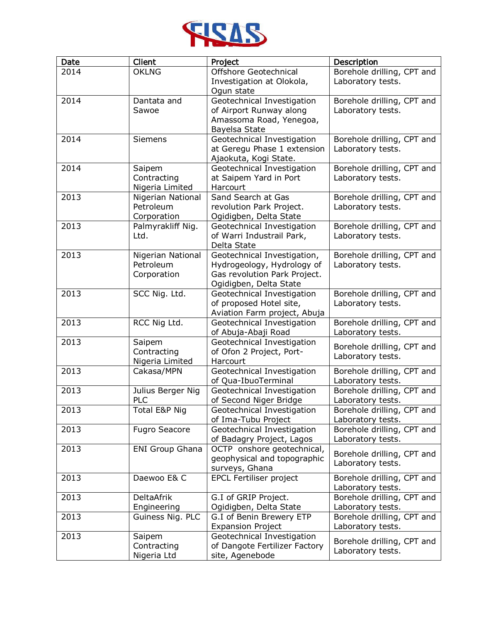

| Date | Client                 | Project                                               | Description                                     |
|------|------------------------|-------------------------------------------------------|-------------------------------------------------|
| 2014 | <b>OKLNG</b>           | Offshore Geotechnical                                 | Borehole drilling, CPT and                      |
|      |                        | Investigation at Olokola,                             | Laboratory tests.                               |
|      |                        | Ogun state                                            |                                                 |
| 2014 | Dantata and            | Geotechnical Investigation                            | Borehole drilling, CPT and                      |
|      | Sawoe                  | of Airport Runway along                               | Laboratory tests.                               |
|      |                        | Amassoma Road, Yenegoa,                               |                                                 |
|      |                        | Bayelsa State                                         |                                                 |
| 2014 | <b>Siemens</b>         | Geotechnical Investigation                            | Borehole drilling, CPT and                      |
|      |                        | at Geregu Phase 1 extension                           | Laboratory tests.                               |
|      |                        | Ajaokuta, Kogi State.                                 |                                                 |
| 2014 | Saipem                 | Geotechnical Investigation                            | Borehole drilling, CPT and                      |
|      | Contracting            | at Saipem Yard in Port                                | Laboratory tests.                               |
|      | Nigeria Limited        | Harcourt                                              |                                                 |
| 2013 | Nigerian National      | Sand Search at Gas                                    | Borehole drilling, CPT and                      |
|      | Petroleum              | revolution Park Project.                              | Laboratory tests.                               |
|      | Corporation            | Ogidigben, Delta State                                |                                                 |
| 2013 | Palmyrakliff Nig.      | Geotechnical Investigation                            | Borehole drilling, CPT and                      |
|      | Ltd.                   | of Warri Industrail Park,                             | Laboratory tests.                               |
|      |                        | Delta State                                           |                                                 |
| 2013 | Nigerian National      | Geotechnical Investigation,                           | Borehole drilling, CPT and                      |
|      | Petroleum              | Hydrogeology, Hydrology of                            | Laboratory tests.                               |
|      | Corporation            | Gas revolution Park Project.                          |                                                 |
|      |                        | Ogidigben, Delta State                                |                                                 |
| 2013 | SCC Nig. Ltd.          | Geotechnical Investigation<br>of proposed Hotel site, | Borehole drilling, CPT and<br>Laboratory tests. |
|      |                        | Aviation Farm project, Abuja                          |                                                 |
| 2013 | RCC Nig Ltd.           | Geotechnical Investigation                            | Borehole drilling, CPT and                      |
|      |                        | of Abuja-Abaji Road                                   | Laboratory tests.                               |
| 2013 | Saipem                 | Geotechnical Investigation                            |                                                 |
|      | Contracting            | of Ofon 2 Project, Port-                              | Borehole drilling, CPT and                      |
|      | Nigeria Limited        | Harcourt                                              | Laboratory tests.                               |
| 2013 | Cakasa/MPN             | Geotechnical Investigation                            | Borehole drilling, CPT and                      |
|      |                        | of Qua-IbuoTerminal                                   | Laboratory tests.                               |
| 2013 | Julius Berger Nig      | Geotechnical Investigation                            | Borehole drilling, CPT and                      |
|      | <b>PLC</b>             | of Second Niger Bridge                                | Laboratory tests.                               |
| 2013 | Total E&P Nig          | Geotechnical Investigation                            | Borehole drilling, CPT and                      |
|      |                        | of Ima-Tubu Project                                   | Laboratory tests.                               |
| 2013 | <b>Fugro Seacore</b>   | Geotechnical Investigation                            | Borehole drilling, CPT and                      |
|      |                        | of Badagry Project, Lagos                             | Laboratory tests.                               |
| 2013 | <b>ENI Group Ghana</b> | OCTP onshore geotechnical,                            | Borehole drilling, CPT and                      |
|      |                        | geophysical and topographic                           | Laboratory tests.                               |
|      |                        | surveys, Ghana                                        |                                                 |
| 2013 | Daewoo E& C            | <b>EPCL Fertiliser project</b>                        | Borehole drilling, CPT and                      |
|      |                        |                                                       | Laboratory tests.                               |
| 2013 | <b>DeltaAfrik</b>      | G.I of GRIP Project.                                  | Borehole drilling, CPT and                      |
|      | Engineering            | Ogidigben, Delta State                                | Laboratory tests.                               |
| 2013 | Guiness Nig. PLC       | G.I of Benin Brewery ETP                              | Borehole drilling, CPT and                      |
|      |                        | <b>Expansion Project</b>                              | Laboratory tests.                               |
| 2013 | Saipem                 | Geotechnical Investigation                            | Borehole drilling, CPT and                      |
|      | Contracting            | of Dangote Fertilizer Factory                         | Laboratory tests.                               |
|      | Nigeria Ltd            | site, Agenebode                                       |                                                 |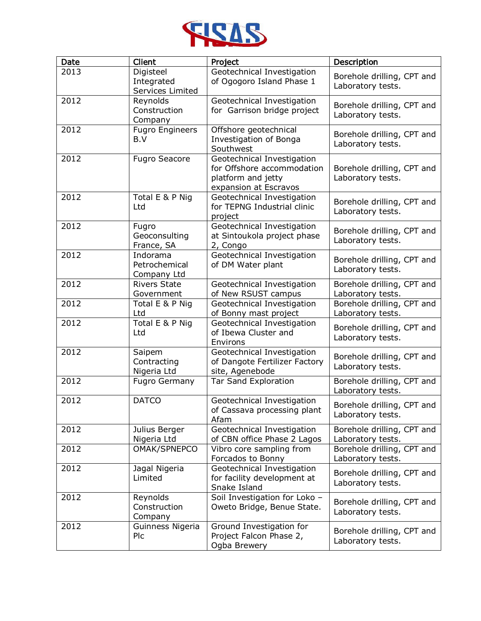

| Date | Client                                      | Project                                                                                                 | Description                                     |
|------|---------------------------------------------|---------------------------------------------------------------------------------------------------------|-------------------------------------------------|
| 2013 | Digisteel<br>Integrated<br>Services Limited | Geotechnical Investigation<br>of Ogogoro Island Phase 1                                                 | Borehole drilling, CPT and<br>Laboratory tests. |
| 2012 | Reynolds<br>Construction<br>Company         | Geotechnical Investigation<br>for Garrison bridge project                                               | Borehole drilling, CPT and<br>Laboratory tests. |
| 2012 | <b>Fugro Engineers</b><br>B.V               | Offshore geotechnical<br>Investigation of Bonga<br>Southwest                                            | Borehole drilling, CPT and<br>Laboratory tests. |
| 2012 | <b>Fugro Seacore</b>                        | Geotechnical Investigation<br>for Offshore accommodation<br>platform and jetty<br>expansion at Escravos | Borehole drilling, CPT and<br>Laboratory tests. |
| 2012 | Total E & P Nig<br>Ltd                      | Geotechnical Investigation<br>for TEPNG Industrial clinic<br>project                                    | Borehole drilling, CPT and<br>Laboratory tests. |
| 2012 | Fugro<br>Geoconsulting<br>France, SA        | Geotechnical Investigation<br>at Sintoukola project phase<br>2, Congo                                   | Borehole drilling, CPT and<br>Laboratory tests. |
| 2012 | Indorama<br>Petrochemical<br>Company Ltd    | Geotechnical Investigation<br>of DM Water plant                                                         | Borehole drilling, CPT and<br>Laboratory tests. |
| 2012 | <b>Rivers State</b><br>Government           | Geotechnical Investigation<br>of New RSUST campus                                                       | Borehole drilling, CPT and<br>Laboratory tests. |
| 2012 | Total E & P Nig<br>Ltd                      | Geotechnical Investigation<br>of Bonny mast project                                                     | Borehole drilling, CPT and<br>Laboratory tests. |
| 2012 | Total E & P Nig<br>Ltd                      | Geotechnical Investigation<br>of Ibewa Cluster and<br>Environs                                          | Borehole drilling, CPT and<br>Laboratory tests. |
| 2012 | Saipem<br>Contracting<br>Nigeria Ltd        | Geotechnical Investigation<br>of Dangote Fertilizer Factory<br>site, Agenebode                          | Borehole drilling, CPT and<br>Laboratory tests. |
| 2012 | <b>Fugro Germany</b>                        | <b>Tar Sand Exploration</b>                                                                             | Borehole drilling, CPT and<br>Laboratory tests. |
| 2012 | <b>DATCO</b>                                | Geotechnical Investigation<br>of Cassava processing plant<br>Afam                                       | Borehole drilling, CPT and<br>Laboratory tests. |
| 2012 | Julius Berger<br>Nigeria Ltd                | Geotechnical Investigation<br>of CBN office Phase 2 Lagos                                               | Borehole drilling, CPT and<br>Laboratory tests. |
| 2012 | OMAK/SPNEPCO                                | Vibro core sampling from<br>Forcados to Bonny                                                           | Borehole drilling, CPT and<br>Laboratory tests. |
| 2012 | Jagal Nigeria<br>Limited                    | Geotechnical Investigation<br>for facility development at<br>Snake Island                               | Borehole drilling, CPT and<br>Laboratory tests. |
| 2012 | Reynolds<br>Construction<br>Company         | Soil Investigation for Loko -<br>Oweto Bridge, Benue State.                                             | Borehole drilling, CPT and<br>Laboratory tests. |
| 2012 | Guinness Nigeria<br>Plc                     | Ground Investigation for<br>Project Falcon Phase 2,<br>Ogba Brewery                                     | Borehole drilling, CPT and<br>Laboratory tests. |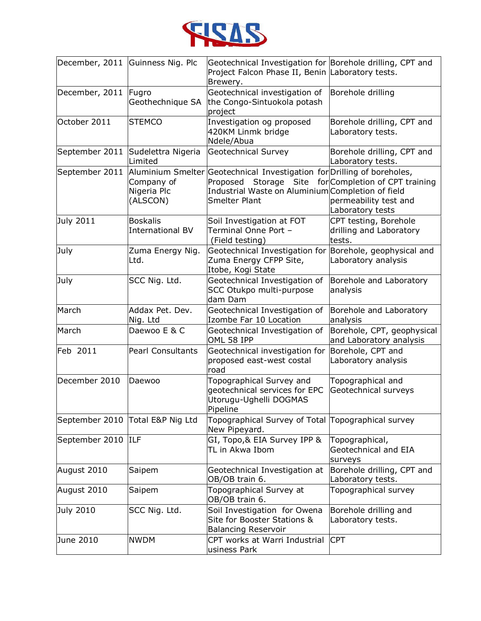

|                    | December, 2011 Guinness Nig. Plc           | Geotechnical Investigation for Borehole drilling, CPT and<br>Project Falcon Phase II, Benin Laboratory tests.<br>Brewery.                                                        |                                                                             |
|--------------------|--------------------------------------------|----------------------------------------------------------------------------------------------------------------------------------------------------------------------------------|-----------------------------------------------------------------------------|
| December, 2011     | Fugro<br>Geothechnique SA                  | Geotechnical investigation of<br>the Congo-Sintuokola potash<br>project                                                                                                          | Borehole drilling                                                           |
| October 2011       | <b>STEMCO</b>                              | Investigation og proposed<br>420KM Linmk bridge<br>Ndele/Abua                                                                                                                    | Borehole drilling, CPT and<br>Laboratory tests.                             |
| September 2011     | Sudelettra Nigeria<br>Limited              | <b>Geotechnical Survey</b>                                                                                                                                                       | Borehole drilling, CPT and<br>Laboratory tests.                             |
| September 2011     | Company of<br>Nigeria Plc<br>(ALSCON)      | Aluminium Smelter Geotechnical Investigation for Drilling of boreholes,<br>Storage Site<br>Proposed<br>Industrial Waste on Aluminium Completion of field<br><b>Smelter Plant</b> | for Completion of CPT training<br>permeability test and<br>Laboratory tests |
| July 2011          | <b>Boskalis</b><br><b>International BV</b> | Soil Investigation at FOT<br>Terminal Onne Port -<br>(Field testing)                                                                                                             | CPT testing, Borehole<br>drilling and Laboratory<br>tests.                  |
| July               | Zuma Energy Nig.<br>Ltd.                   | Geotechnical Investigation for<br>Zuma Energy CFPP Site,<br>Itobe, Kogi State                                                                                                    | Borehole, geophysical and<br>Laboratory analysis                            |
| July               | SCC Nig. Ltd.                              | Geotechnical Investigation of<br>SCC Otukpo multi-purpose<br>dam Dam                                                                                                             | Borehole and Laboratory<br>analysis                                         |
| March              | Addax Pet. Dev.<br>Nig. Ltd                | Geotechnical Investigation of<br>Izombe Far 10 Location                                                                                                                          | Borehole and Laboratory<br>analysis                                         |
| March              | Daewoo E & C                               | Geotechnical Investigation of<br>OML 58 IPP                                                                                                                                      | Borehole, CPT, geophysical<br>and Laboratory analysis                       |
| Feb 2011           | <b>Pearl Consultants</b>                   | Geotechnical investigation for<br>proposed east-west costal<br>road                                                                                                              | Borehole, CPT and<br>Laboratory analysis                                    |
| December 2010      | Daewoo                                     | Topographical Survey and<br>geotechnical services for EPC<br>Utorugu-Ughelli DOGMAS<br>Pipeline                                                                                  | Topographical and<br>Geotechnical surveys                                   |
| September 2010     | Total E&P Nig Ltd                          | Topographical Survey of Total Topographical survey<br>New Pipeyard.                                                                                                              |                                                                             |
| September 2010 ILF |                                            | GI, Topo,& EIA Survey IPP &<br>TL in Akwa Ibom                                                                                                                                   | Topographical,<br>Geotechnical and EIA<br>surveys                           |
| August 2010        | Saipem                                     | Geotechnical Investigation at<br>OB/OB train 6.                                                                                                                                  | Borehole drilling, CPT and<br>Laboratory tests.                             |
| August 2010        | Saipem                                     | Topographical Survey at<br>OB/OB train 6.                                                                                                                                        | Topographical survey                                                        |
| July 2010          | SCC Nig. Ltd.                              | Soil Investigation for Owena<br>Site for Booster Stations &<br><b>Balancing Reservoir</b>                                                                                        | Borehole drilling and<br>Laboratory tests.                                  |
| June 2010          | <b>NWDM</b>                                | CPT works at Warri Industrial<br>usiness Park                                                                                                                                    | <b>CPT</b>                                                                  |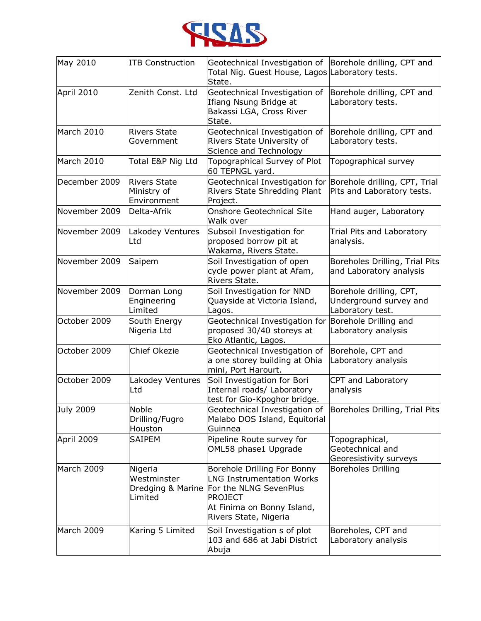

| May 2010      | <b>ITB Construction</b>                           | Geotechnical Investigation of<br>Total Nig. Guest House, Lagos Laboratory tests.<br>State.                                                                                           | Borehole drilling, CPT and                                            |
|---------------|---------------------------------------------------|--------------------------------------------------------------------------------------------------------------------------------------------------------------------------------------|-----------------------------------------------------------------------|
| April 2010    | Zenith Const. Ltd                                 | Geotechnical Investigation of<br>Ifiang Nsung Bridge at<br>Bakassi LGA, Cross River<br>State.                                                                                        | Borehole drilling, CPT and<br>Laboratory tests.                       |
| March 2010    | <b>Rivers State</b><br>Government                 | Geotechnical Investigation of<br>Rivers State University of<br>Science and Technology                                                                                                | Borehole drilling, CPT and<br>Laboratory tests.                       |
| March 2010    | Total E&P Nig Ltd                                 | Topographical Survey of Plot<br>60 TEPNGL yard.                                                                                                                                      | Topographical survey                                                  |
| December 2009 | <b>Rivers State</b><br>Ministry of<br>Environment | Geotechnical Investigation for Borehole drilling, CPT, Trial<br>Rivers State Shredding Plant<br>Project.                                                                             | Pits and Laboratory tests.                                            |
| November 2009 | Delta-Afrik                                       | <b>Onshore Geotechnical Site</b><br>Walk over                                                                                                                                        | Hand auger, Laboratory                                                |
| November 2009 | Lakodey Ventures<br>Ltd                           | Subsoil Investigation for<br>proposed borrow pit at<br>Wakama, Rivers State.                                                                                                         | Trial Pits and Laboratory<br>analysis.                                |
| November 2009 | Saipem                                            | Soil Investigation of open<br>cycle power plant at Afam,<br>Rivers State.                                                                                                            | Boreholes Drilling, Trial Pits<br>and Laboratory analysis             |
| November 2009 | Dorman Long<br>Engineering<br>Limited             | Soil Investigation for NND<br>Quayside at Victoria Island,<br>Lagos.                                                                                                                 | Borehole drilling, CPT,<br>Underground survey and<br>Laboratory test. |
| October 2009  | South Energy<br>Nigeria Ltd                       | Geotechnical Investigation for<br>proposed 30/40 storeys at<br>Eko Atlantic, Lagos.                                                                                                  | Borehole Drilling and<br>Laboratory analysis                          |
| October 2009  | Chief Okezie                                      | Geotechnical Investigation of<br>a one storey building at Ohia<br>mini, Port Harourt.                                                                                                | Borehole, CPT and<br>Laboratory analysis                              |
| October 2009  | Lakodey Ventures<br>Ltd                           | Soil Investigation for Bori<br>Internal roads/ Laboratory<br>test for Gio-Kpoghor bridge.                                                                                            | CPT and Laboratory<br>analysis                                        |
| July 2009     | Noble<br>Drilling/Fugro<br>Houston                | Geotechnical Investigation of Boreholes Drilling, Trial Pits<br>Malabo DOS Island, Equitorial<br>Guinnea                                                                             |                                                                       |
| April 2009    | <b>SAIPEM</b>                                     | Pipeline Route survey for<br>OML58 phase1 Upgrade                                                                                                                                    | Topographical,<br>Geotechnical and<br>Georesistivity surveys          |
| March 2009    | Nigeria<br>Westminster<br>Limited                 | Borehole Drilling For Bonny<br><b>LNG Instrumentation Works</b><br>Dredging & Marine For the NLNG SevenPlus<br><b>PROJECT</b><br>At Finima on Bonny Island,<br>Rivers State, Nigeria | <b>Boreholes Drilling</b>                                             |
| March 2009    | Karing 5 Limited                                  | Soil Investigation s of plot<br>103 and 686 at Jabi District<br>Abuja                                                                                                                | Boreholes, CPT and<br>Laboratory analysis                             |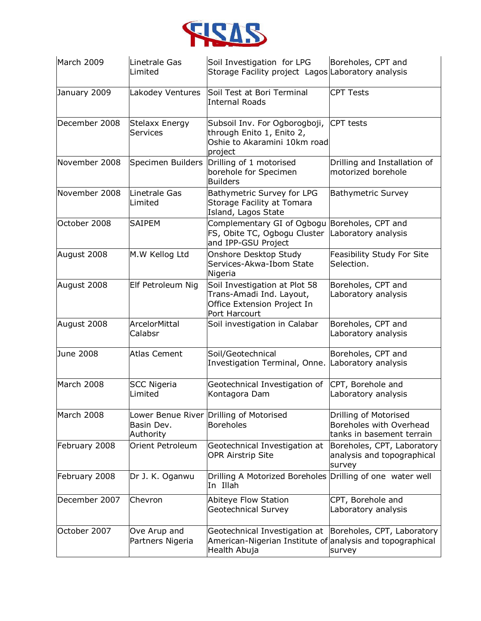

| March 2009    | Linetrale Gas<br>Limited                 | Soil Investigation for LPG<br>Storage Facility project Lagos Laboratory analysis                           | Boreholes, CPT and                                                            |
|---------------|------------------------------------------|------------------------------------------------------------------------------------------------------------|-------------------------------------------------------------------------------|
| January 2009  | Lakodey Ventures                         | Soil Test at Bori Terminal<br><b>Internal Roads</b>                                                        | <b>CPT Tests</b>                                                              |
| December 2008 | <b>Stelaxx Energy</b><br><b>Services</b> | Subsoil Inv. For Ogborogboji,<br>through Enito 1, Enito 2,<br>Oshie to Akaramini 10km road<br>project      | CPT tests                                                                     |
| November 2008 | Specimen Builders                        | Drilling of 1 motorised<br>borehole for Specimen<br><b>Builders</b>                                        | Drilling and Installation of<br>motorized borehole                            |
| November 2008 | Linetrale Gas<br>Limited                 | Bathymetric Survey for LPG<br>Storage Facility at Tomara<br>Island, Lagos State                            | <b>Bathymetric Survey</b>                                                     |
| October 2008  | <b>SAIPEM</b>                            | Complementary GI of Ogbogu Boreholes, CPT and<br>FS, Obite TC, Ogbogu Cluster<br>and IPP-GSU Project       | Laboratory analysis                                                           |
| August 2008   | M.W Kellog Ltd                           | Onshore Desktop Study<br>Services-Akwa-Ibom State<br>Nigeria                                               | Feasibility Study For Site<br>Selection.                                      |
| August 2008   | Elf Petroleum Nig                        | Soil Investigation at Plot 58<br>Trans-Amadi Ind. Layout,<br>Office Extension Project In<br>Port Harcourt  | Boreholes, CPT and<br>Laboratory analysis                                     |
| August 2008   | <b>ArcelorMittal</b><br>Calabsr          | Soil investigation in Calabar                                                                              | Boreholes, CPT and<br>Laboratory analysis                                     |
| June 2008     | <b>Atlas Cement</b>                      | Soil/Geotechnical<br>Investigation Terminal, Onne. Laboratory analysis                                     | Boreholes, CPT and                                                            |
| March 2008    | <b>SCC Nigeria</b><br>Limited            | Geotechnical Investigation of<br>Kontagora Dam                                                             | CPT, Borehole and<br>Laboratory analysis                                      |
| March 2008    | Basin Dev.<br>Authority                  | Lower Benue River Drilling of Motorised<br><b>Boreholes</b>                                                | Drilling of Motorised<br>Boreholes with Overhead<br>tanks in basement terrain |
| February 2008 | Orient Petroleum                         | Geotechnical Investigation at<br><b>OPR Airstrip Site</b>                                                  | Boreholes, CPT, Laboratory<br>analysis and topographical<br>survey            |
| February 2008 | Dr J. K. Oganwu                          | Drilling A Motorized Boreholes Drilling of one water well<br>In Illah                                      |                                                                               |
| December 2007 | Chevron                                  | Abiteye Flow Station<br><b>Geotechnical Survey</b>                                                         | CPT, Borehole and<br>Laboratory analysis                                      |
| October 2007  | Ove Arup and<br>Partners Nigeria         | Geotechnical Investigation at<br>American-Nigerian Institute of analysis and topographical<br>Health Abuja | Boreholes, CPT, Laboratory<br>survey                                          |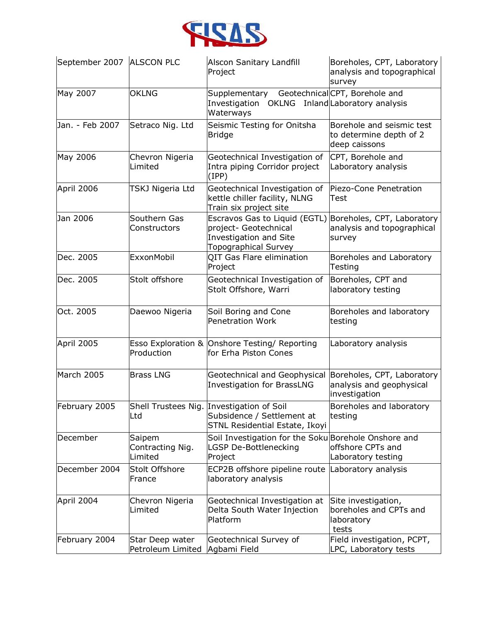

| September 2007 ALSCON PLC |                                       | <b>Alscon Sanitary Landfill</b><br>Project                                                                                                 | Boreholes, CPT, Laboratory<br>analysis and topographical<br>survey      |
|---------------------------|---------------------------------------|--------------------------------------------------------------------------------------------------------------------------------------------|-------------------------------------------------------------------------|
| May 2007                  | <b>OKLNG</b>                          | Supplementary Geotechnical CPT, Borehole and<br>Investigation OKLNG Inland Laboratory analysis<br>Waterways                                |                                                                         |
| Jan. - Feb 2007           | Setraco Nig. Ltd                      | Seismic Testing for Onitsha<br><b>Bridge</b>                                                                                               | Borehole and seismic test<br>to determine depth of 2<br>deep caissons   |
| May 2006                  | Chevron Nigeria<br>Limited            | Geotechnical Investigation of<br>Intra piping Corridor project<br>(IPP)                                                                    | CPT, Borehole and<br>Laboratory analysis                                |
| April 2006                | TSKJ Nigeria Ltd                      | Geotechnical Investigation of<br>kettle chiller facility, NLNG<br>Train six project site                                                   | Piezo-Cone Penetration<br>Test                                          |
| Jan 2006                  | Southern Gas<br>Constructors          | Escravos Gas to Liquid (EGTL) Boreholes, CPT, Laboratory<br>project- Geotechnical<br>Investigation and Site<br><b>Topographical Survey</b> | analysis and topographical<br>survey                                    |
| Dec. 2005                 | ExxonMobil                            | QIT Gas Flare elimination<br>Project                                                                                                       | Boreholes and Laboratory<br>Testing                                     |
| Dec. 2005                 | Stolt offshore                        | Geotechnical Investigation of<br>Stolt Offshore, Warri                                                                                     | Boreholes, CPT and<br>laboratory testing                                |
| Oct. 2005                 | Daewoo Nigeria                        | Soil Boring and Cone<br><b>Penetration Work</b>                                                                                            | Boreholes and laboratory<br>testing                                     |
| April 2005                | Production                            | Esso Exploration & Onshore Testing/ Reporting<br>for Erha Piston Cones                                                                     | Laboratory analysis                                                     |
| March 2005                | <b>Brass LNG</b>                      | Geotechnical and Geophysical<br><b>Investigation for BrassLNG</b>                                                                          | Boreholes, CPT, Laboratory<br>analysis and geophysical<br>investigation |
| February 2005             | Ltd                                   | Shell Trustees Nig. Investigation of Soil<br>Subsidence / Settlement at<br>STNL Residential Estate, Ikoyi                                  | Boreholes and laboratory<br>testing                                     |
| December                  | Saipem<br>Contracting Nig.<br>Limited | Soil Investigation for the Soku Borehole Onshore and<br><b>LGSP De-Bottlenecking</b><br>Project                                            | offshore CPTs and<br>Laboratory testing                                 |
| December 2004             | Stolt Offshore<br>France              | ECP2B offshore pipeline route Laboratory analysis<br>laboratory analysis                                                                   |                                                                         |
| April 2004                | Chevron Nigeria<br>Limited            | Geotechnical Investigation at<br>Delta South Water Injection<br>Platform                                                                   | Site investigation,<br>boreholes and CPTs and<br>laboratory<br>tests    |
| February 2004             | Star Deep water<br>Petroleum Limited  | Geotechnical Survey of<br>Agbami Field                                                                                                     | Field investigation, PCPT,<br>LPC, Laboratory tests                     |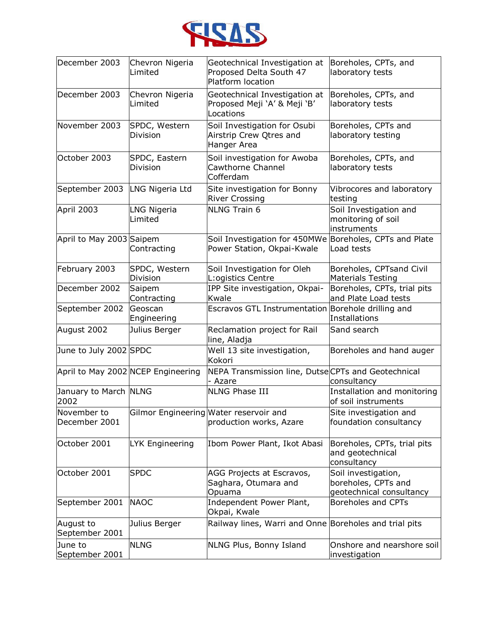

| December 2003                 | Chevron Nigeria<br>Limited         | Geotechnical Investigation at<br>Proposed Delta South 47<br>Platform location         | Boreholes, CPTs, and<br>laboratory tests                               |
|-------------------------------|------------------------------------|---------------------------------------------------------------------------------------|------------------------------------------------------------------------|
| December 2003                 | Chevron Nigeria<br>Limited         | Geotechnical Investigation at<br>Proposed Meji 'A' & Meji 'B'<br>Locations            | Boreholes, CPTs, and<br>laboratory tests                               |
| November 2003                 | SPDC, Western<br><b>Division</b>   | Soil Investigation for Osubi<br>Airstrip Crew Qtres and<br>Hanger Area                | Boreholes, CPTs and<br>laboratory testing                              |
| October 2003                  | SPDC, Eastern<br><b>Division</b>   | Soil investigation for Awoba<br>Cawthorne Channel<br>Cofferdam                        | Boreholes, CPTs, and<br>laboratory tests                               |
| September 2003                | LNG Nigeria Ltd                    | Site investigation for Bonny<br><b>River Crossing</b>                                 | Vibrocores and laboratory<br>testing                                   |
| April 2003                    | <b>LNG Nigeria</b><br>Limited      | <b>NLNG Train 6</b>                                                                   | Soil Investigation and<br>monitoring of soil<br>instruments            |
| April to May 2003 Saipem      | Contracting                        | Soil Investigation for 450MWe Boreholes, CPTs and Plate<br>Power Station, Okpai-Kwale | Load tests                                                             |
| February 2003                 | SPDC, Western<br>Division          | Soil Investigation for Oleh<br>L: ogistics Centre                                     | Boreholes, CPTsand Civil<br><b>Materials Testing</b>                   |
| December 2002                 | Saipem<br>Contracting              | IPP Site investigation, Okpai-<br>Kwale                                               | Boreholes, CPTs, trial pits<br>and Plate Load tests                    |
| September 2002                | Geoscan<br>Engineering             | Escravos GTL Instrumentation Borehole drilling and                                    | Installations                                                          |
| August 2002                   | Julius Berger                      | Reclamation project for Rail<br>line, Aladja                                          | Sand search                                                            |
| June to July 2002 SPDC        |                                    | Well 13 site investigation,<br>Kokori                                                 | Boreholes and hand auger                                               |
|                               | April to May 2002 NCEP Engineering | NEPA Transmission line, Dutse CPTs and Geotechnical<br>- Azare                        | consultancy                                                            |
| January to March NLNG<br>2002 |                                    | <b>NLNG Phase III</b>                                                                 | Installation and monitoring<br>of soil instruments                     |
| November to<br>December 2001  |                                    | Gilmor Engineering Water reservoir and<br>production works, Azare                     | Site investigation and<br>foundation consultancy                       |
| October 2001                  | <b>LYK Engineering</b>             | Ibom Power Plant, Ikot Abasi                                                          | Boreholes, CPTs, trial pits<br>and geotechnical<br>consultancy         |
| October 2001                  | <b>SPDC</b>                        | AGG Projects at Escravos,<br>Saghara, Otumara and<br>Opuama                           | Soil investigation,<br>boreholes, CPTs and<br>geotechnical consultancy |
| September 2001                | <b>NAOC</b>                        | Independent Power Plant,<br>Okpai, Kwale                                              | Boreholes and CPTs                                                     |
| August to<br>September 2001   | Julius Berger                      | Railway lines, Warri and Onne Boreholes and trial pits                                |                                                                        |
| June to<br>September 2001     | <b>NLNG</b>                        | NLNG Plus, Bonny Island                                                               | Onshore and nearshore soil<br>investigation                            |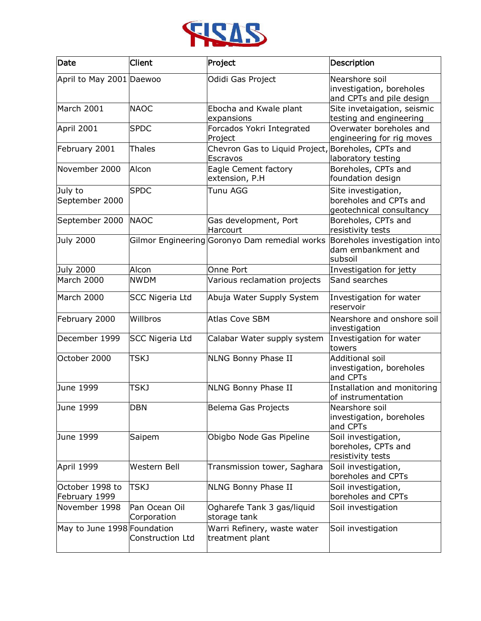

| Date                             | Client                       | Project                                                        | Description                                                               |
|----------------------------------|------------------------------|----------------------------------------------------------------|---------------------------------------------------------------------------|
| April to May 2001 Daewoo         |                              | Odidi Gas Project                                              | Nearshore soil<br>investigation, boreholes<br>and CPTs and pile design    |
| March 2001                       | <b>NAOC</b>                  | Ebocha and Kwale plant<br>expansions                           | Site invetaigation, seismic<br>testing and engineering                    |
| April 2001                       | <b>SPDC</b>                  | Forcados Yokri Integrated<br>Project                           | Overwater boreholes and<br>engineering for rig moves                      |
| February 2001                    | <b>Thales</b>                | Chevron Gas to Liquid Project, Boreholes, CPTs and<br>Escravos | laboratory testing                                                        |
| November 2000                    | Alcon                        | Eagle Cement factory<br>extension, P.H                         | Boreholes, CPTs and<br>foundation design                                  |
| July to<br>September 2000        | <b>SPDC</b>                  | Tunu AGG                                                       | Site investigation,<br>boreholes and CPTs and<br>geotechnical consultancy |
| September 2000                   | <b>NAOC</b>                  | Gas development, Port<br>Harcourt                              | Boreholes, CPTs and<br>resistivity tests                                  |
| July 2000                        |                              | Gilmor Engineering Goronyo Dam remedial works                  | Boreholes investigation into<br>dam embankment and<br>subsoil             |
| <b>July 2000</b>                 | Alcon                        | Onne Port                                                      | Investigation for jetty                                                   |
| March 2000                       | <b>NWDM</b>                  | Various reclamation projects                                   | Sand searches                                                             |
| March 2000                       | <b>SCC Nigeria Ltd</b>       | Abuja Water Supply System                                      | Investigation for water<br>reservoir                                      |
| February 2000                    | Willbros                     | <b>Atlas Cove SBM</b>                                          | Nearshore and onshore soil<br>investigation                               |
| December 1999                    | SCC Nigeria Ltd              | Calabar Water supply system                                    | Investigation for water<br>towers                                         |
| October 2000                     | TSKJ                         | NLNG Bonny Phase II                                            | <b>Additional soil</b><br>investigation, boreholes<br>and CPTs            |
| June 1999                        | <b>TSKJ</b>                  | NLNG Bonny Phase II                                            | Installation and monitoring<br>of instrumentation                         |
| June 1999                        | <b>DBN</b>                   | Belema Gas Projects                                            | Nearshore soil<br>investigation, boreholes<br>and CPTs                    |
| June 1999                        | Saipem                       | Obigbo Node Gas Pipeline                                       | Soil investigation,<br>boreholes, CPTs and<br>resistivity tests           |
| April 1999                       | Western Bell                 | Transmission tower, Saghara                                    | Soil investigation,<br>boreholes and CPTs                                 |
| October 1998 to<br>February 1999 | <b>TSKJ</b>                  | NLNG Bonny Phase II                                            | Soil investigation,<br>boreholes and CPTs                                 |
| November 1998                    | Pan Ocean Oil<br>Corporation | Ogharefe Tank 3 gas/liquid<br>storage tank                     | Soil investigation                                                        |
| May to June 1998 Foundation      | Construction Ltd             | Warri Refinery, waste water<br>treatment plant                 | Soil investigation                                                        |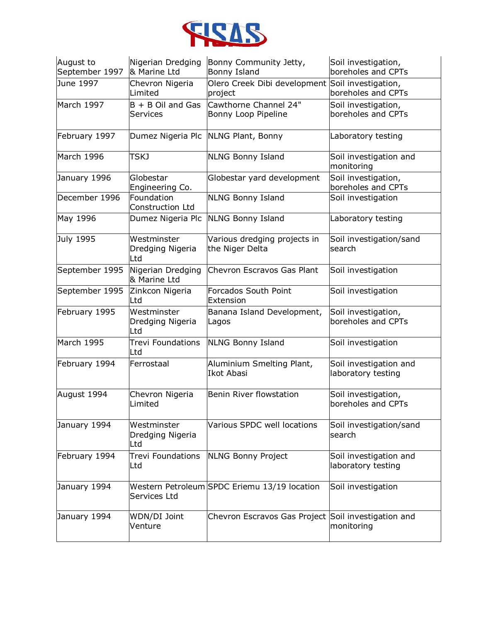

| August to<br>September 1997 | Nigerian Dredging<br>& Marine Ltd      | Bonny Community Jetty,<br>Bonny Island                      | Soil investigation,<br>boreholes and CPTs    |
|-----------------------------|----------------------------------------|-------------------------------------------------------------|----------------------------------------------|
| June 1997                   | Chevron Nigeria<br>Limited             | Olero Creek Dibi development Soil investigation,<br>project | boreholes and CPTs                           |
| March 1997                  | $B + B$ Oil and Gas<br>Services        | Cawthorne Channel 24"<br>Bonny Loop Pipeline                | Soil investigation,<br>boreholes and CPTs    |
| February 1997               | Dumez Nigeria Plc                      | NLNG Plant, Bonny                                           | Laboratory testing                           |
| March 1996                  | TSKJ                                   | <b>NLNG Bonny Island</b>                                    | Soil investigation and<br>monitoring         |
| January 1996                | Globestar<br>Engineering Co.           | Globestar yard development                                  | Soil investigation,<br>boreholes and CPTs    |
| December 1996               | Foundation<br>Construction Ltd         | <b>NLNG Bonny Island</b>                                    | Soil investigation                           |
| May 1996                    | Dumez Nigeria Plc                      | <b>NLNG Bonny Island</b>                                    | Laboratory testing                           |
| July 1995                   | Westminster<br>Dredging Nigeria<br>Ltd | Various dredging projects in<br>the Niger Delta             | Soil investigation/sand<br>search            |
| September 1995              | Nigerian Dredging<br>& Marine Ltd      | Chevron Escravos Gas Plant                                  | Soil investigation                           |
| September 1995              | Zinkcon Nigeria<br>Ltd                 | Forcados South Point<br>Extension                           | Soil investigation                           |
| February 1995               | Westminster<br>Dredging Nigeria<br>Ltd | Banana Island Development,<br>Lagos                         | Soil investigation,<br>boreholes and CPTs    |
| March 1995                  | <b>Trevi Foundations</b><br>Ltd        | <b>NLNG Bonny Island</b>                                    | Soil investigation                           |
| February 1994               | Ferrostaal                             | Aluminium Smelting Plant,<br><b>Ikot Abasi</b>              | Soil investigation and<br>laboratory testing |
| August 1994                 | Chevron Nigeria<br>Limited             | <b>Benin River flowstation</b>                              | Soil investigation,<br>boreholes and CPTs    |
| January 1994                | Westminster<br>Dredging Nigeria<br>Ltd | Various SPDC well locations                                 | Soil investigation/sand<br>search            |
| February 1994               | <b>Trevi Foundations</b><br>Ltd        | <b>NLNG Bonny Project</b>                                   | Soil investigation and<br>laboratory testing |
| January 1994                | Services Ltd                           | Western Petroleum SPDC Eriemu 13/19 location                | Soil investigation                           |
| January 1994                | WDN/DI Joint<br>Venture                | Chevron Escravos Gas Project Soil investigation and         | monitoring                                   |